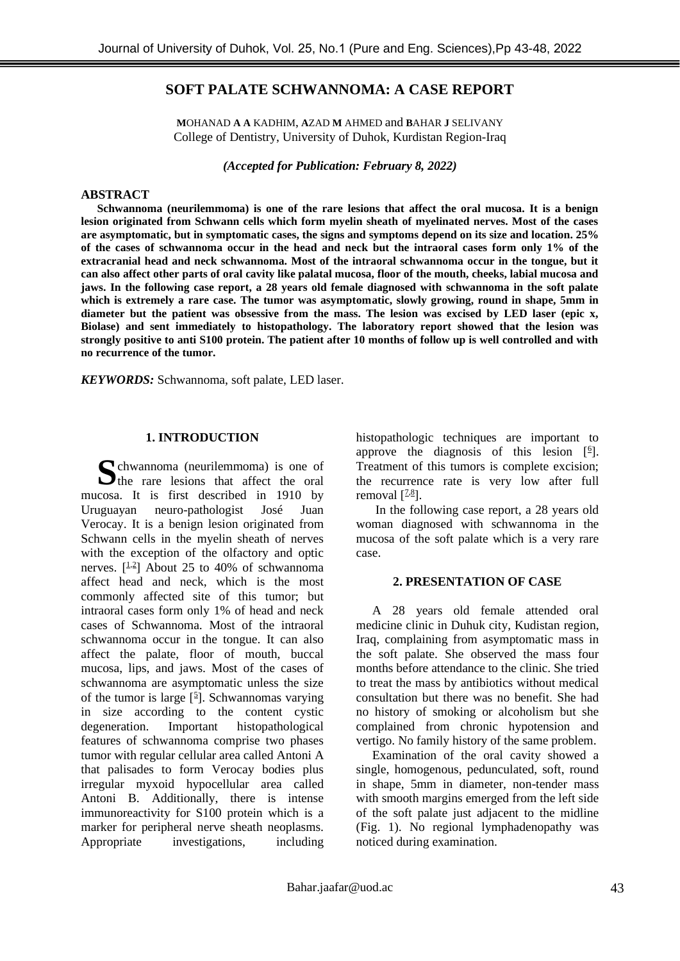# **SOFT PALATE SCHWANNOMA: A CASE REPORT**

**M**OHANAD **A A** KADHIM, **A**ZAD **M** AHMED and **B**AHAR **J** SELIVANY College of Dentistry, University of Duhok, Kurdistan Region-Iraq

*(Accepted for Publication:**February 8, 2022)*

### **ABSTRACT**

**Schwannoma (neurilemmoma) is one of the rare lesions that affect the oral mucosa. It is a benign lesion originated from Schwann cells which form myelin sheath of myelinated nerves. Most of the cases are asymptomatic, but in symptomatic cases, the signs and symptoms depend on its size and location. 25% of the cases of schwannoma occur in the head and neck but the intraoral cases form only 1% of the extracranial head and neck schwannoma. Most of the intraoral schwannoma occur in the tongue, but it can also affect other parts of oral cavity like palatal mucosa, floor of the mouth, cheeks, labial mucosa and jaws. In the following case report, a 28 years old female diagnosed with schwannoma in the soft palate which is extremely a rare case. The tumor was asymptomatic, slowly growing, round in shape, 5mm in diameter but the patient was obsessive from the mass. The lesion was excised by LED laser (epic x, Biolase) and sent immediately to histopathology. The laboratory report showed that the lesion was strongly positive to anti S100 protein. The patient after 10 months of follow up is well controlled and with no recurrence of the tumor.**

*KEYWORDS:* Schwannoma, soft palate, LED laser.

#### **1. INTRODUCTION**

chwannoma (neurilemmoma) is one of Schwannoma (neurilemmoma) is one of the rare lesions that affect the oral mucosa. It is first described in 1910 by Uruguayan neuro-pathologist José Juan Verocay. It is a benign lesion originated from Schwann cells in the myelin sheath of nerves with the exception of the olfactory and optic nerves.  $[\frac{1}{2}]$  About 25 to 40% of schwannoma affect head and neck, which is the most commonly affected site of this tumor; but intraoral cases form only 1% of head and neck cases of Schwannoma. Most of the intraoral schwannoma occur in the tongue. It can also affect the palate, floor of mouth, buccal mucosa, lips, and jaws. Most of the cases of schwannoma are asymptomatic unless the size of the tumor is large  $[$ <sup>5</sup> $]$ . Schwannomas varying in size according to the content cystic degeneration. Important histopathological features of schwannoma comprise two phases tumor with regular cellular area called Antoni A that palisades to form Verocay bodies plus irregular myxoid hypocellular area called Antoni B. Additionally, there is intense immunoreactivity for S100 protein which is a marker for peripheral nerve sheath neoplasms. Appropriate investigations, including

histopathologic techniques are important to approve the diagnosis of this lesion  $[6]$  $[6]$ . Treatment of this tumors is complete excision; the recurrence rate is very low after full removal  $[<sup>2,8</sup>]$  $[<sup>2,8</sup>]$  $[<sup>2,8</sup>]$ .

In the following case report, a 28 years old woman diagnosed with schwannoma in the mucosa of the soft palate which is a very rare case.

#### **2. PRESENTATION OF CASE**

A 28 years old female attended oral medicine clinic in Duhuk city, Kudistan region, Iraq, complaining from asymptomatic mass in the soft palate. She observed the mass four months before attendance to the clinic. She tried to treat the mass by antibiotics without medical consultation but there was no benefit. She had no history of smoking or alcoholism but she complained from chronic hypotension and vertigo. No family history of the same problem.

Examination of the oral cavity showed a single, homogenous, pedunculated, soft, round in shape, 5mm in diameter, non-tender mass with smooth margins emerged from the left side of the soft palate just adjacent to the midline [\(Fig. 1\)](https://www.ncbi.nlm.nih.gov/pmc/articles/PMC8253958/figure/f0005/). No regional lymphadenopathy was noticed during examination.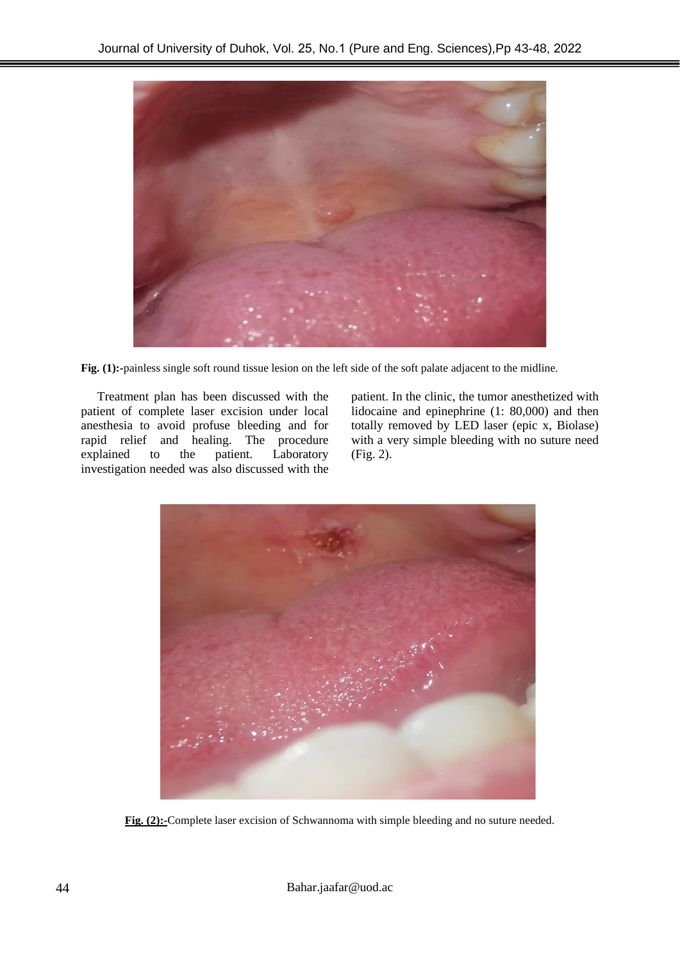

**[Fig. \(1\)](https://www.ncbi.nlm.nih.gov/pmc/articles/PMC8253958/figure/f0005/):-**painless single soft round tissue lesion on the left side of the soft palate adjacent to the midline.

Treatment plan has been discussed with the patient of complete laser excision under local anesthesia to avoid profuse bleeding and for rapid relief and healing. The procedure explained to the patient. Laboratory investigation needed was also discussed with the

patient. In the clinic, the tumor anesthetized with lidocaine and epinephrine (1: 80,000) and then totally removed by LED laser (epic x, Biolase) with a very simple bleeding with no suture need (Fig. 2).



**[Fig. \(2\)](https://www.ncbi.nlm.nih.gov/pmc/articles/PMC8253958/figure/f0010/):-**Complete laser excision of Schwannoma with simple bleeding and no suture needed.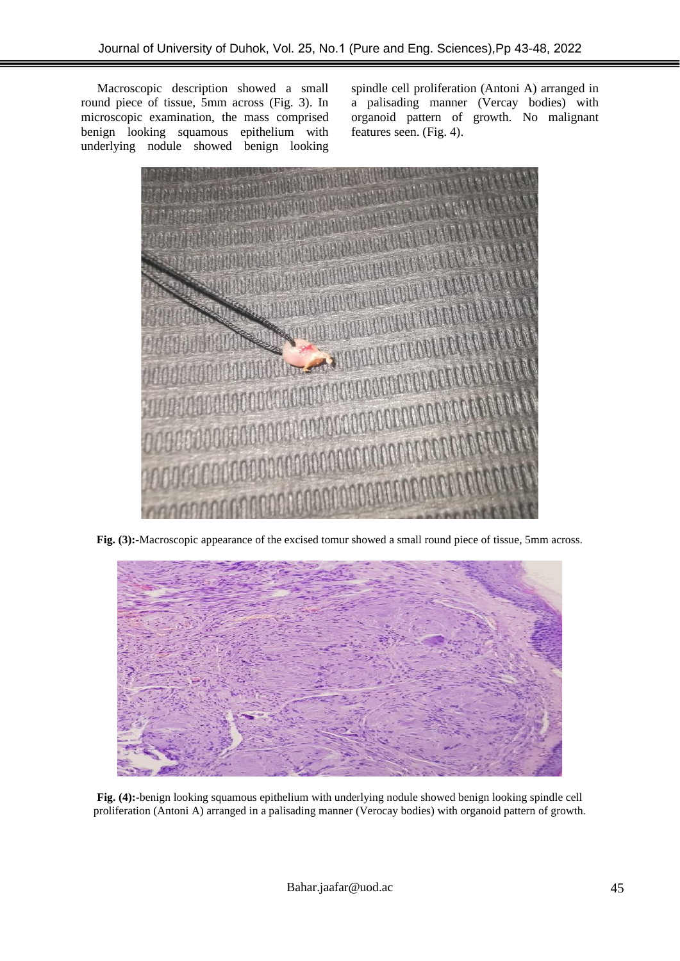Macroscopic description showed a small round piece of tissue, 5mm across (Fig. 3). In microscopic examination, the mass comprised benign looking squamous epithelium with underlying nodule showed benign looking

spindle cell proliferation (Antoni A) arranged in a palisading manner (Vercay bodies) with organoid pattern of growth. No malignant features seen. [\(Fig. 4\)](https://www.ncbi.nlm.nih.gov/pmc/articles/PMC8253958/figure/f0020/).



**[Fig. \(3\)](https://www.ncbi.nlm.nih.gov/pmc/articles/PMC8253958/figure/f0015/):-**Macroscopic appearance of the excised tomur showed a small round piece of tissue, 5mm across.



**[Fig. \(4\)](https://www.ncbi.nlm.nih.gov/pmc/articles/PMC8253958/figure/f0020/):-**benign looking squamous epithelium with underlying nodule showed benign looking spindle cell proliferation (Antoni A) arranged in a palisading manner (Verocay bodies) with organoid pattern of growth.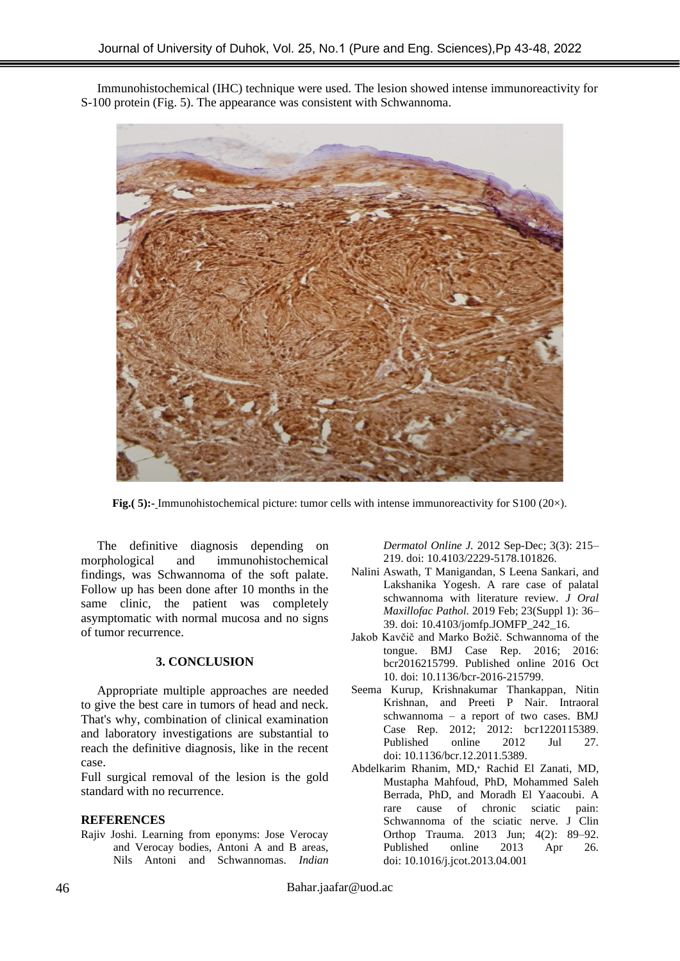Immunohistochemical (IHC) technique were used. The lesion showed intense immunoreactivity for S-100 protein [\(Fig. 5\)](https://www.ncbi.nlm.nih.gov/pmc/articles/PMC8253958/figure/f0025/). The appearance was consistent with Schwannoma.



**[Fig.\(](https://www.ncbi.nlm.nih.gov/pmc/articles/PMC8253958/figure/f0025/) 5):-** Immunohistochemical picture: tumor cells with intense immunoreactivity for S100 (20×).

The definitive diagnosis depending on morphological and immunohistochemical findings, was Schwannoma of the soft palate. Follow up has been done after 10 months in the same clinic, the patient was completely asymptomatic with normal mucosa and no signs of tumor recurrence.

#### **3. CONCLUSION**

Appropriate multiple approaches are needed to give the best care in tumors of head and neck. That's why, combination of clinical examination and laboratory investigations are substantial to reach the definitive diagnosis, like in the recent case.

Full surgical removal of the lesion is the gold standard with no recurrence.

#### **REFERENCES**

[Rajiv Joshi.](https://www.ncbi.nlm.nih.gov/pubmed/?term=Joshi%20R%5BAuthor%5D&cauthor=true&cauthor_uid=23189261) Learning from eponyms: Jose Verocay and Verocay bodies, Antoni A and B areas, Nils Antoni and Schwannomas. *[Indian](https://www.ncbi.nlm.nih.gov/pmc/articles/PMC3505436/)*  *[Dermatol Online J.](https://www.ncbi.nlm.nih.gov/pmc/articles/PMC3505436/)* 2012 Sep-Dec; 3(3): 215– 219. doi: [10.4103/2229-5178.101826.](https://dx.doi.org/10.4103%2F2229-5178.101826)

- [Nalini Aswath,](https://www.ncbi.nlm.nih.gov/pubmed/?term=Aswath%20N%5BAuthor%5D&cauthor=true&cauthor_uid=30967721) [T Manigandan,](https://www.ncbi.nlm.nih.gov/pubmed/?term=Manigandan%20T%5BAuthor%5D&cauthor=true&cauthor_uid=30967721) [S Leena Sankari,](https://www.ncbi.nlm.nih.gov/pubmed/?term=Sankari%20SL%5BAuthor%5D&cauthor=true&cauthor_uid=30967721) and [Lakshanika Yogesh.](https://www.ncbi.nlm.nih.gov/pubmed/?term=Yogesh%20L%5BAuthor%5D&cauthor=true&cauthor_uid=30967721) A rare case of palatal schwannoma with literature review. *[J Oral](https://www.ncbi.nlm.nih.gov/pmc/articles/PMC6421914/)  [Maxillofac Pathol.](https://www.ncbi.nlm.nih.gov/pmc/articles/PMC6421914/)* 2019 Feb; 23(Suppl 1): 36– 39. doi: [10.4103/jomfp.JOMFP\\_242\\_16.](https://dx.doi.org/10.4103%2Fjomfp.JOMFP_242_16)
- [Jakob Kavčič](https://www.ncbi.nlm.nih.gov/pubmed/?term=Kav%26%23x0010d%3Bi%26%23x0010d%3B%20J%5BAuthor%5D&cauthor=true&cauthor_uid=28049116) and [Marko Božič.](https://www.ncbi.nlm.nih.gov/pubmed/?term=Bo%26%23x0017e%3Bi%26%23x0010d%3B%20M%5BAuthor%5D&cauthor=true&cauthor_uid=28049116) Schwannoma of the tongue. [BMJ Case Rep.](https://www.ncbi.nlm.nih.gov/pmc/articles/PMC5073691/) 2016; 2016: bcr2016215799. Published online 2016 Oct 10. doi: [10.1136/bcr-2016-215799.](https://dx.doi.org/10.1136%2Fbcr-2016-215799)
- [Seema Kurup,](https://www.ncbi.nlm.nih.gov/pubmed/?term=Kurup%20S%5BAuthor%5D&cauthor=true&cauthor_uid=22778466) [Krishnakumar Thankappan,](https://www.ncbi.nlm.nih.gov/pubmed/?term=Thankappan%20K%5BAuthor%5D&cauthor=true&cauthor_uid=22778466) [Nitin](https://www.ncbi.nlm.nih.gov/pubmed/?term=Krishnan%20N%5BAuthor%5D&cauthor=true&cauthor_uid=22778466)  [Krishnan,](https://www.ncbi.nlm.nih.gov/pubmed/?term=Krishnan%20N%5BAuthor%5D&cauthor=true&cauthor_uid=22778466) and [Preeti P Nair.](https://www.ncbi.nlm.nih.gov/pubmed/?term=Nair%20PP%5BAuthor%5D&cauthor=true&cauthor_uid=22778466) Intraoral schwannoma – a report of two cases. [BMJ](https://www.ncbi.nlm.nih.gov/pmc/articles/PMC3417034/)  [Case Rep.](https://www.ncbi.nlm.nih.gov/pmc/articles/PMC3417034/) 2012; 2012: bcr1220115389. Published online 2012 Jul 27. doi: [10.1136/bcr.12.2011.5389.](https://dx.doi.org/10.1136%2Fbcr.12.2011.5389)
- [Abdelkarim Rhanim,](https://www.ncbi.nlm.nih.gov/pubmed/?term=Rhanim%20A%5BAuthor%5D&cauthor=true&cauthor_uid=26403631) MD,<sup>∗</sup> [Rachid El Zanati,](https://www.ncbi.nlm.nih.gov/pubmed/?term=El%20Zanati%20R%5BAuthor%5D&cauthor=true&cauthor_uid=26403631) MD, [Mustapha Mahfoud,](https://www.ncbi.nlm.nih.gov/pubmed/?term=Mahfoud%20M%5BAuthor%5D&cauthor=true&cauthor_uid=26403631) PhD, [Mohammed Saleh](https://www.ncbi.nlm.nih.gov/pubmed/?term=Berrada%20MS%5BAuthor%5D&cauthor=true&cauthor_uid=26403631)  [Berrada,](https://www.ncbi.nlm.nih.gov/pubmed/?term=Berrada%20MS%5BAuthor%5D&cauthor=true&cauthor_uid=26403631) PhD, and [Moradh El Yaacoubi.](https://www.ncbi.nlm.nih.gov/pubmed/?term=El%20Yaacoubi%20M%5BAuthor%5D&cauthor=true&cauthor_uid=26403631) A rare cause of chronic sciatic pain: Schwannoma of the sciatic nerve. [J Clin](https://www.ncbi.nlm.nih.gov/pmc/articles/PMC3880523/)  [Orthop Trauma.](https://www.ncbi.nlm.nih.gov/pmc/articles/PMC3880523/) 2013 Jun; 4(2): 89–92. Published online 2013 Apr 26. doi: [10.1016/j.jcot.2013.04.001](https://dx.doi.org/10.1016%2Fj.jcot.2013.04.001)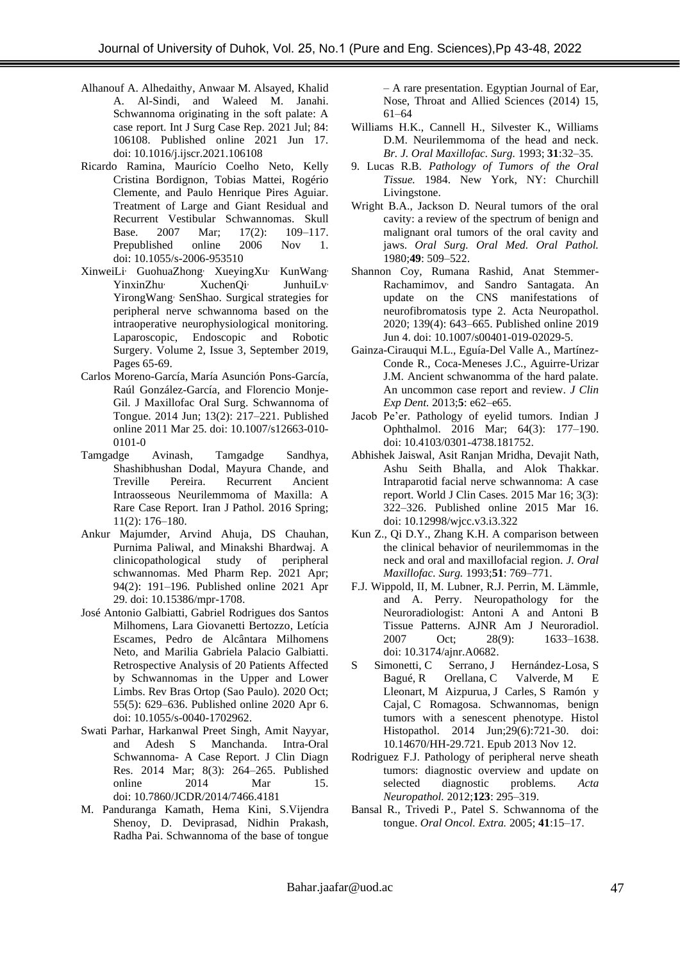- [Alhanouf A. Alhedaithy,](https://www.ncbi.nlm.nih.gov/pubmed/?term=Alhedaithy%20AA%5BAuthor%5D&cauthor=true&cauthor_uid=34175679) [Anwaar M. Alsayed,](https://www.ncbi.nlm.nih.gov/pubmed/?term=Alsayed%20AM%5BAuthor%5D&cauthor=true&cauthor_uid=34175679) [Khalid](https://www.ncbi.nlm.nih.gov/pubmed/?term=Al-Sindi%20KA%5BAuthor%5D&cauthor=true&cauthor_uid=34175679)  [A. Al-Sindi,](https://www.ncbi.nlm.nih.gov/pubmed/?term=Al-Sindi%20KA%5BAuthor%5D&cauthor=true&cauthor_uid=34175679) and [Waleed M. Janahi.](https://www.ncbi.nlm.nih.gov/pubmed/?term=Janahi%20WM%5BAuthor%5D&cauthor=true&cauthor_uid=34175679)  Schwannoma originating in the soft palate: A case report. [Int J Surg Case Rep.](https://www.ncbi.nlm.nih.gov/pmc/articles/PMC8253958/) 2021 Jul; 84: 106108. Published online 2021 Jun 17. doi: [10.1016/j.ijscr.2021.106108](https://dx.doi.org/10.1016%2Fj.ijscr.2021.106108)
- [Ricardo Ramina,](https://www.ncbi.nlm.nih.gov/pubmed/?term=Ramina%20R%5BAuthor%5D&cauthor=true&cauthor_uid=17768440) [Maurício Coelho Neto,](https://www.ncbi.nlm.nih.gov/pubmed/?term=Coelho%20Neto%20M%5BAuthor%5D&cauthor=true&cauthor_uid=17768440) [Kelly](https://www.ncbi.nlm.nih.gov/pubmed/?term=Bordignon%20KC%5BAuthor%5D&cauthor=true&cauthor_uid=17768440)  [Cristina Bordignon,](https://www.ncbi.nlm.nih.gov/pubmed/?term=Bordignon%20KC%5BAuthor%5D&cauthor=true&cauthor_uid=17768440) [Tobias Mattei,](https://www.ncbi.nlm.nih.gov/pubmed/?term=Mattei%20T%5BAuthor%5D&cauthor=true&cauthor_uid=17768440) [Rogério](https://www.ncbi.nlm.nih.gov/pubmed/?term=Clemente%20R%5BAuthor%5D&cauthor=true&cauthor_uid=17768440)  [Clemente,](https://www.ncbi.nlm.nih.gov/pubmed/?term=Clemente%20R%5BAuthor%5D&cauthor=true&cauthor_uid=17768440) and [Paulo Henrique Pires Aguiar.](https://www.ncbi.nlm.nih.gov/pubmed/?term=Pires%20Aguiar%20PH%5BAuthor%5D&cauthor=true&cauthor_uid=17768440) Treatment of Large and Giant Residual and Recurrent Vestibular Schwannomas. [Skull](https://www.ncbi.nlm.nih.gov/pmc/articles/PMC1876156/)  [Base.](https://www.ncbi.nlm.nih.gov/pmc/articles/PMC1876156/) 2007 Mar; 17(2): 109-117.<br>Prepublished online 2006 Nov 1. Prepublished online 2006 Nov 1. doi: [10.1055/s-2006-953510](https://dx.doi.org/10.1055%2Fs-2006-953510)
- [XinweiLi](https://www.sciencedirect.com/science/article/pii/S2468900919300386#!), [GuohuaZhong](https://www.sciencedirect.com/science/article/pii/S2468900919300386#!), [XueyingXu](https://www.sciencedirect.com/science/article/pii/S2468900919300386#!), [KunWang](https://www.sciencedirect.com/science/article/pii/S2468900919300386#!), [YinxinZhu](https://www.sciencedirect.com/science/article/pii/S2468900919300386#!)<sup>,</sup> [XuchenQi](https://www.sciencedirect.com/science/article/pii/S2468900919300386#!)<sup>,</sup> [JunhuiLv](https://www.sciencedirect.com/science/article/pii/S2468900919300386#!)<sup>,</sup> [YirongWang](https://www.sciencedirect.com/science/article/pii/S2468900919300386#!), [SenShao.](https://www.sciencedirect.com/science/article/pii/S2468900919300386#!) Surgical strategies for peripheral nerve schwannoma based on the intraoperative neurophysiological monitoring. [Laparoscopic, Endoscopic and Robotic](https://www.sciencedirect.com/science/journal/24689009)  [Surgery.](https://www.sciencedirect.com/science/journal/24689009) [Volume 2, Issue 3,](https://www.sciencedirect.com/science/journal/24689009/2/3) September 2019, Pages 65-69.
- [Carlos Moreno-García,](https://www.ncbi.nlm.nih.gov/pubmed/?term=Moreno-Garc%26%23x000ed%3Ba%20C%5BAuthor%5D&cauthor=true&cauthor_uid=24822018) [María Asunción Pons-García,](https://www.ncbi.nlm.nih.gov/pubmed/?term=Pons-Garc%26%23x000ed%3Ba%20MA%5BAuthor%5D&cauthor=true&cauthor_uid=24822018)  [Raúl González-García,](https://www.ncbi.nlm.nih.gov/pubmed/?term=Gonz%26%23x000e1%3Blez-Garc%26%23x000ed%3Ba%20R%5BAuthor%5D&cauthor=true&cauthor_uid=24822018) and [Florencio Monje-](https://www.ncbi.nlm.nih.gov/pubmed/?term=Monje-Gil%20F%5BAuthor%5D&cauthor=true&cauthor_uid=24822018)[Gil.](https://www.ncbi.nlm.nih.gov/pubmed/?term=Monje-Gil%20F%5BAuthor%5D&cauthor=true&cauthor_uid=24822018) [J Maxillofac Oral Surg.](https://www.ncbi.nlm.nih.gov/pmc/articles/PMC4016386/) Schwannoma of Tongue. 2014 Jun; 13(2): 217–221. Published online 2011 Mar 25. doi: [10.1007/s12663-010-](https://dx.doi.org/10.1007%2Fs12663-010-0101-0) [0101-0](https://dx.doi.org/10.1007%2Fs12663-010-0101-0)
- [Tamgadge Avinash,](https://www.ncbi.nlm.nih.gov/pubmed/?term=Avinash%20T%5BAuthor%5D&cauthor=true&cauthor_uid=27499782) [Tamgadge](https://www.ncbi.nlm.nih.gov/pubmed/?term=Sandhya%20T%5BAuthor%5D&cauthor=true&cauthor_uid=27499782) Sandhya, [Shashibhushan Dodal,](https://www.ncbi.nlm.nih.gov/pubmed/?term=Dodal%20S%5BAuthor%5D&cauthor=true&cauthor_uid=27499782) [Mayura Chande,](https://www.ncbi.nlm.nih.gov/pubmed/?term=Chande%20M%5BAuthor%5D&cauthor=true&cauthor_uid=27499782) and [Treville Pereira.](https://www.ncbi.nlm.nih.gov/pubmed/?term=Pereira%20T%5BAuthor%5D&cauthor=true&cauthor_uid=27499782) Recurrent Ancient Intraosseous Neurilemmoma of Maxilla: A Rare Case Report. [Iran J Pathol.](https://www.ncbi.nlm.nih.gov/pmc/articles/PMC4939651/) 2016 Spring; 11(2): 176–180.
- [Ankur Majumder,](https://www.ncbi.nlm.nih.gov/pubmed/?term=Majumder%20A%5BAuthor%5D&cauthor=true&cauthor_uid=34013190) [Arvind Ahuja,](https://www.ncbi.nlm.nih.gov/pubmed/?term=Ahuja%20A%5BAuthor%5D&cauthor=true&cauthor_uid=34013190) [DS Chauhan,](https://www.ncbi.nlm.nih.gov/pubmed/?term=Chauhan%20D%5BAuthor%5D&cauthor=true&cauthor_uid=34013190)  [Purnima Paliwal,](https://www.ncbi.nlm.nih.gov/pubmed/?term=Paliwal%20P%5BAuthor%5D&cauthor=true&cauthor_uid=34013190) and [Minakshi Bhardwaj.](https://www.ncbi.nlm.nih.gov/pubmed/?term=Bhardwaj%20M%5BAuthor%5D&cauthor=true&cauthor_uid=34013190) A clinicopathological study of peripheral schwannomas. [Med Pharm Rep.](https://www.ncbi.nlm.nih.gov/pmc/articles/PMC8118219/) 2021 Apr; 94(2): 191–196. Published online 2021 Apr 29. doi: [10.15386/mpr-1708.](https://dx.doi.org/10.15386%2Fmpr-1708)
- [José Antonio Galbiatti,](https://www.ncbi.nlm.nih.gov/pubmed/?term=Galbiatti%20JA%5BAuthor%5D&cauthor=true&cauthor_uid=33093729) [Gabriel Rodrigues dos Santos](https://www.ncbi.nlm.nih.gov/pubmed/?term=Milhomens%20GR%5BAuthor%5D&cauthor=true&cauthor_uid=33093729)  [Milhomens,](https://www.ncbi.nlm.nih.gov/pubmed/?term=Milhomens%20GR%5BAuthor%5D&cauthor=true&cauthor_uid=33093729) [Lara Giovanetti Bertozzo,](https://www.ncbi.nlm.nih.gov/pubmed/?term=Bertozzo%20LG%5BAuthor%5D&cauthor=true&cauthor_uid=33093729) [Letícia](https://www.ncbi.nlm.nih.gov/pubmed/?term=Escames%20L%5BAuthor%5D&cauthor=true&cauthor_uid=33093729)  [Escames,](https://www.ncbi.nlm.nih.gov/pubmed/?term=Escames%20L%5BAuthor%5D&cauthor=true&cauthor_uid=33093729) [Pedro de Alcântara Milhomens](https://www.ncbi.nlm.nih.gov/pubmed/?term=Milhomens%20Neto%20Pd%5BAuthor%5D&cauthor=true&cauthor_uid=33093729)  [Neto,](https://www.ncbi.nlm.nih.gov/pubmed/?term=Milhomens%20Neto%20Pd%5BAuthor%5D&cauthor=true&cauthor_uid=33093729) and [Marilia Gabriela Palacio Galbiatti.](https://www.ncbi.nlm.nih.gov/pubmed/?term=Galbiatti%20MG%5BAuthor%5D&cauthor=true&cauthor_uid=33093729)  Retrospective Analysis of 20 Patients Affected by Schwannomas in the Upper and Lower Limbs. [Rev Bras Ortop \(Sao Paulo\).](https://www.ncbi.nlm.nih.gov/pmc/articles/PMC7575399/) 2020 Oct; 55(5): 629–636. Published online 2020 Apr 6. doi: [10.1055/s-0040-1702962.](https://dx.doi.org/10.1055%2Fs-0040-1702962)
- [Swati Parhar,](https://www.ncbi.nlm.nih.gov/pubmed/?term=Parhar%20S%5BAuthor%5D&cauthor=true&cauthor_uid=24783154) [Harkanwal Preet Singh,](https://www.ncbi.nlm.nih.gov/pubmed/?term=Singh%20HP%5BAuthor%5D&cauthor=true&cauthor_uid=24783154) [Amit Nayyar,](https://www.ncbi.nlm.nih.gov/pubmed/?term=Nayyar%20A%5BAuthor%5D&cauthor=true&cauthor_uid=24783154)  and Adesh S Manchanda. Intra-Oral Schwannoma- A Case Report. [J Clin Diagn](https://www.ncbi.nlm.nih.gov/pmc/articles/PMC4003662/)  [Res.](https://www.ncbi.nlm.nih.gov/pmc/articles/PMC4003662/) 2014 Mar; 8(3): 264–265. Published online 2014 Mar 15. doi: [10.7860/JCDR/2014/7466.4181](https://dx.doi.org/10.7860%2FJCDR%2F2014%2F7466.4181)
- [M. Panduranga Kamath,](https://www.sciencedirect.com/science/article/pii/S2090074013000820#!) [Hema Kini,](https://www.sciencedirect.com/science/article/pii/S2090074013000820#!) [S.Vijendra](https://www.sciencedirect.com/science/article/pii/S2090074013000820#!)  [Shenoy, D. Deviprasad,](https://www.sciencedirect.com/science/article/pii/S2090074013000820#!) [Nidhin Prakash,](https://www.sciencedirect.com/science/article/pii/S2090074013000820#!)  [Radha Pai.](https://www.sciencedirect.com/science/article/pii/S2090074013000820#!) Schwannoma of the base of tongue

– A rare presentation. Egyptian Journal of Ear, Nose, Throat and Allied Sciences (2014) 15, 61–64

- Williams H.K., Cannell H., Silvester K., Williams D.M. Neurilemmoma of the head and neck. *Br. J. Oral Maxillofac. Surg.* 1993; **31**:32–35.
- 9. Lucas R.B. *Pathology of Tumors of the Oral Tissue.* 1984. New York, NY: Churchill Livingstone.
- Wright B.A., Jackson D. Neural tumors of the oral cavity: a review of the spectrum of benign and malignant oral tumors of the oral cavity and jaws. *Oral Surg. Oral Med. Oral Pathol.*  1980;**49**: 509–522.
- [Shannon Coy,](https://www.ncbi.nlm.nih.gov/pubmed/?term=Coy%20S%5BAuthor%5D&cauthor=true&cauthor_uid=31161239) [Rumana Rashid,](https://www.ncbi.nlm.nih.gov/pubmed/?term=Rashid%20R%5BAuthor%5D&cauthor=true&cauthor_uid=31161239) [Anat Stemmer-](https://www.ncbi.nlm.nih.gov/pubmed/?term=Stemmer-Rachamimov%20A%5BAuthor%5D&cauthor=true&cauthor_uid=31161239)[Rachamimov,](https://www.ncbi.nlm.nih.gov/pubmed/?term=Stemmer-Rachamimov%20A%5BAuthor%5D&cauthor=true&cauthor_uid=31161239) and [Sandro Santagata.](https://www.ncbi.nlm.nih.gov/pubmed/?term=Santagata%20S%5BAuthor%5D&cauthor=true&cauthor_uid=31161239) An update on the CNS manifestations of neurofibromatosis type 2. [Acta Neuropathol.](https://www.ncbi.nlm.nih.gov/pmc/articles/PMC7038792/) 2020; 139(4): 643–665. Published online 2019 Jun 4. doi: [10.1007/s00401-019-02029-5.](https://dx.doi.org/10.1007%2Fs00401-019-02029-5)
- Gainza-Cirauqui M.L., Eguía-Del Valle A., Martínez-Conde R., Coca-Meneses J.C., Aguirre-Urizar J.M. Ancient schwanomma of the hard palate. An uncommon case report and review. *J Clin Exp Dent.* 2013;**5**: e62–e65.
- [Jacob Pe'er.](https://www.ncbi.nlm.nih.gov/pubmed/?term=Pe%26%23x02019%3Ber%20J%5BAuthor%5D&cauthor=true&cauthor_uid=27146927) Pathology of eyelid tumors. [Indian J](https://www.ncbi.nlm.nih.gov/pmc/articles/PMC4869455/)  [Ophthalmol.](https://www.ncbi.nlm.nih.gov/pmc/articles/PMC4869455/) 2016 Mar; 64(3): 177–190. doi: [10.4103/0301-4738.181752.](https://dx.doi.org/10.4103%2F0301-4738.181752)
- [Abhishek Jaiswal,](https://www.ncbi.nlm.nih.gov/pubmed/?term=Jaiswal%20A%5BAuthor%5D&cauthor=true&cauthor_uid=25789306) [Asit Ranjan Mridha,](https://www.ncbi.nlm.nih.gov/pubmed/?term=Mridha%20AR%5BAuthor%5D&cauthor=true&cauthor_uid=25789306) [Devajit Nath,](https://www.ncbi.nlm.nih.gov/pubmed/?term=Nath%20D%5BAuthor%5D&cauthor=true&cauthor_uid=25789306) [Ashu Seith Bhalla,](https://www.ncbi.nlm.nih.gov/pubmed/?term=Bhalla%20AS%5BAuthor%5D&cauthor=true&cauthor_uid=25789306) and [Alok Thakkar.](https://www.ncbi.nlm.nih.gov/pubmed/?term=Thakkar%20A%5BAuthor%5D&cauthor=true&cauthor_uid=25789306) Intraparotid facial nerve schwannoma: A case report. [World J Clin Cases.](https://www.ncbi.nlm.nih.gov/pmc/articles/PMC4360505/) 2015 Mar 16; 3(3): 322–326. Published online 2015 Mar 16. doi: [10.12998/wjcc.v3.i3.322](https://dx.doi.org/10.12998%2Fwjcc.v3.i3.322)
- Kun Z., Qi D.Y., Zhang K.H. A comparison between the clinical behavior of neurilemmomas in the neck and oral and maxillofacial region. *J. Oral Maxillofac. Surg.* 1993;**51**: 769–771.
- [F.J. Wippold, II,](https://www.ncbi.nlm.nih.gov/pubmed/?term=Wippold%20F%5BAuthor%5D&cauthor=true&cauthor_uid=17893219) [M. Lubner,](https://www.ncbi.nlm.nih.gov/pubmed/?term=Lubner%20M%5BAuthor%5D&cauthor=true&cauthor_uid=17893219) [R.J. Perrin,](https://www.ncbi.nlm.nih.gov/pubmed/?term=Perrin%20R%5BAuthor%5D&cauthor=true&cauthor_uid=17893219) [M. Lämmle,](https://www.ncbi.nlm.nih.gov/pubmed/?term=L%26%23x000e4%3Bmmle%20M%5BAuthor%5D&cauthor=true&cauthor_uid=17893219) and A. Perry. Neuropathology for the Neuroradiologist: Antoni A and Antoni B Tissue Patterns. [AJNR Am J Neuroradiol.](https://www.ncbi.nlm.nih.gov/pmc/articles/PMC8134199/) 2007 Oct; 28(9): 1633-1638. doi: [10.3174/ajnr.A0682.](https://dx.doi.org/10.3174%2Fajnr.A0682)
- [S Simonetti,](https://pubmed.ncbi.nlm.nih.gov/?term=Simonetti+S&cauthor_id=24217963) [C Serrano,](https://pubmed.ncbi.nlm.nih.gov/?term=Serrano+C&cauthor_id=24217963) [J Hernández-Losa,](https://pubmed.ncbi.nlm.nih.gov/?term=Hern%C3%A1ndez-Losa+J&cauthor_id=24217963) [S](https://pubmed.ncbi.nlm.nih.gov/?term=Bagu%C3%A9+S&cauthor_id=24217963)  [Bagué,](https://pubmed.ncbi.nlm.nih.gov/?term=Bagu%C3%A9+S&cauthor_id=24217963) [R Orellana,](https://pubmed.ncbi.nlm.nih.gov/?term=Orellana+R&cauthor_id=24217963) [C Valverde,](https://pubmed.ncbi.nlm.nih.gov/?term=Valverde+C&cauthor_id=24217963) [M E](https://pubmed.ncbi.nlm.nih.gov/?term=Lleonart+ME&cauthor_id=24217963)  [Lleonart,](https://pubmed.ncbi.nlm.nih.gov/?term=Lleonart+ME&cauthor_id=24217963) [M Aizpurua,](https://pubmed.ncbi.nlm.nih.gov/?term=Aizpurua+M&cauthor_id=24217963) [J Carles,](https://pubmed.ncbi.nlm.nih.gov/?term=Carles+J&cauthor_id=24217963) [S Ramón y](https://pubmed.ncbi.nlm.nih.gov/?term=Ram%C3%B3n+y+Cajal+S&cauthor_id=24217963)  [Cajal,](https://pubmed.ncbi.nlm.nih.gov/?term=Ram%C3%B3n+y+Cajal+S&cauthor_id=24217963) [C Romagosa.](https://pubmed.ncbi.nlm.nih.gov/?term=Romagosa+C&cauthor_id=24217963) Schwannomas, benign tumors with a senescent phenotype. Histol Histopathol. 2014 Jun;29(6):721-30. doi: 10.14670/HH-29.721. Epub 2013 Nov 12.
- Rodriguez F.J. Pathology of peripheral nerve sheath tumors: diagnostic overview and update on selected diagnostic problems. *Acta Neuropathol.* 2012;**123**: 295–319.
- Bansal R., Trivedi P., Patel S. Schwannoma of the tongue. *Oral Oncol. Extra.* 2005; **41**:15–17.